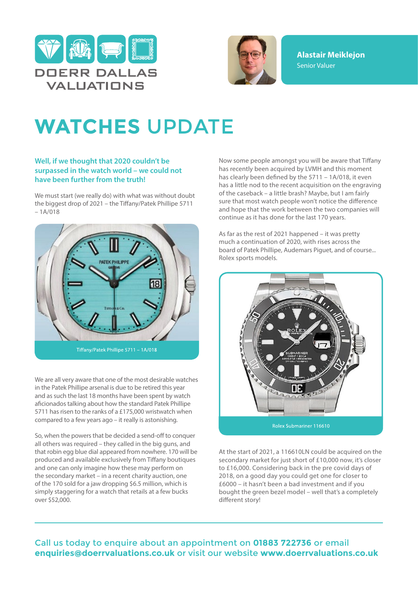



**Alastair Meiklejon** Senior Valuer

## **WATCHES** UPDATE

## **Well, if we thought that 2020 couldn't be surpassed in the watch world – we could not have been further from the truth!**

We must start (we really do) with what was without doubt the biggest drop of 2021 – the Tiffany/Patek Phillipe 5711 – 1A/018



We are all very aware that one of the most desirable watches in the Patek Phillipe arsenal is due to be retired this year and as such the last 18 months have been spent by watch aficionados talking about how the standard Patek Phillipe 5711 has risen to the ranks of a £175,000 wristwatch when compared to a few years ago – it really is astonishing.

So, when the powers that be decided a send-off to conquer all others was required – they called in the big guns, and that robin egg blue dial appeared from nowhere. 170 will be produced and available exclusively from Tiffany boutiques and one can only imagine how these may perform on the secondary market – in a recent charity auction, one of the 170 sold for a jaw dropping \$6.5 million, which is simply staggering for a watch that retails at a few bucks over \$52,000.

Now some people amongst you will be aware that Tiffany has recently been acquired by LVMH and this moment has clearly been defined by the 5711 – 1A/018, it even has a little nod to the recent acquisition on the engraving of the caseback – a little brash? Maybe, but I am fairly sure that most watch people won't notice the difference and hope that the work between the two companies will continue as it has done for the last 170 years.

As far as the rest of 2021 happened – it was pretty much a continuation of 2020, with rises across the board of Patek Phillipe, Audemars Piguet, and of course... Rolex sports models.



At the start of 2021, a 116610LN could be acquired on the secondary market for just short of £10,000 now, it's closer to £16,000. Considering back in the pre covid days of 2018, on a good day you could get one for closer to £6000 – it hasn't been a bad investment and if you bought the green bezel model – well that's a completely different story!

## Call us today to enquire about an appointment on **01883 722736** or email **enquiries@doerrvaluations.co.uk** or visit our website **www.doerrvaluations.co.uk**